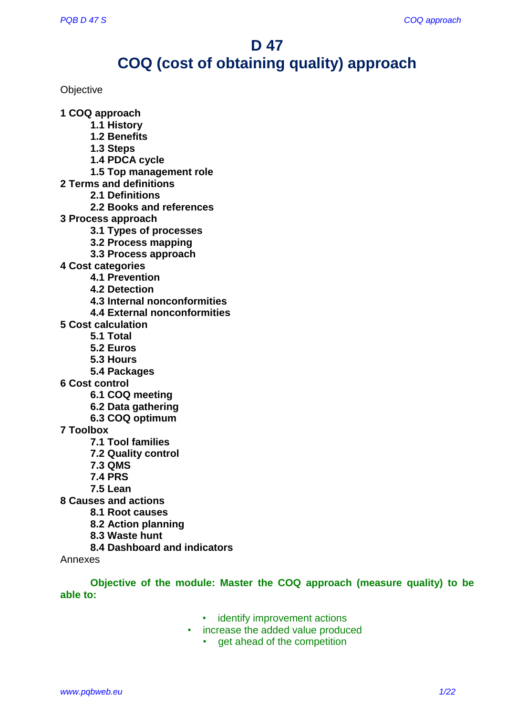# **D 47**

# **COQ (cost of obtaining quality) approach**

**Objective** 

**1 COQ approach**

- **1.1 History**
	- **1.2 Benefits**
	- **1.3 Steps**
	- **1.4 PDCA cycle**
	- **1.5 Top management role**
- **2 Terms and definitions**
	- **2.1 Definitions**
	- **2.2 Books and references**
- **3 Process approach**
	- **3.1 Types of processes**
	- **3.2 Process mapping**
	- **3.3 Process approach**
- **4 Cost categories**
	- **4.1 Prevention**
	- **4.2 Detection**
	- **4.3 Internal nonconformities**
	- **4.4 External nonconformities**
- **5 Cost calculation**
	- **5.1 Total**
	- **5.2 Euros**
	- **5.3 Hours**
	- **5.4 Packages**
- **6 Cost control**
	- **6.1 COQ meeting**
	- **6.2 Data gathering**
	- **6.3 COQ optimum**
- **7 Toolbox**
	- **7.1 Tool families**
	- **7.2 Quality control**
	- **7.3 QMS**
	- **7.4 PRS**
	- **7.5 Lean**
- **8 Causes and actions**
	- **8.1 Root causes**
	- **8.2 Action planning**
	- **8.3 Waste hunt**
	- **8.4 Dashboard and indicators**

Annexes

**Objective of the module: Master the COQ approach (measure quality) to be able to:**

- identify improvement actions
- increase the added value produced
	- get ahead of the competition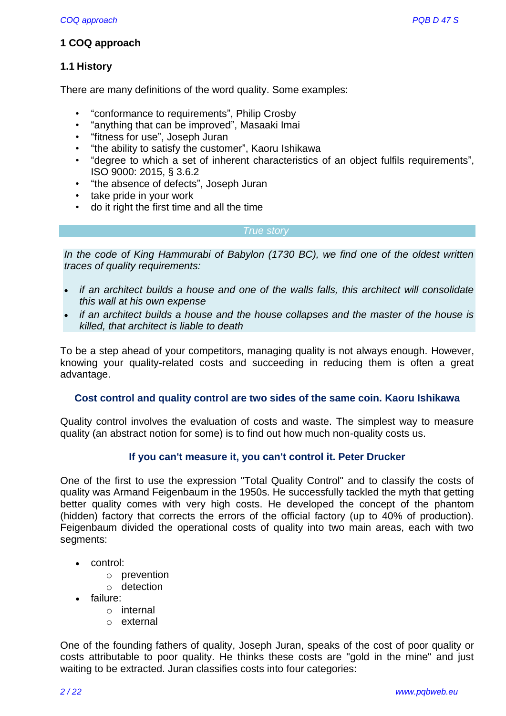# **1 COQ approach**

# **1.1 History**

There are many definitions of the word quality. Some examples:

- "conformance to requirements", Philip Crosby
- "anything that can be improved", Masaaki Imai
- "fitness for use", Joseph Juran
- "the ability to satisfy the customer", Kaoru Ishikawa
- "degree to which a set of inherent characteristics of an object fulfils requirements", ISO 9000: 2015, § 3.6.2
- "the absence of defects", Joseph Juran
- take pride in your work
- do it right the first time and all the time

#### *True story*

*In the code of King Hammurabi of Babylon (1730 BC), we find one of the oldest written traces of quality requirements:*

- *if an architect builds a house and one of the walls falls, this architect will consolidate this wall at his own expense*
- *if an architect builds a house and the house collapses and the master of the house is killed, that architect is liable to death*

To be a step ahead of your competitors, managing quality is not always enough. However, knowing your quality-related costs and succeeding in reducing them is often a great advantage.

#### **Cost control and quality control are two sides of the same coin. Kaoru Ishikawa**

Quality control involves the evaluation of costs and waste. The simplest way to measure quality (an abstract notion for some) is to find out how much non-quality costs us.

# **If you can't measure it, you can't control it. Peter Drucker**

One of the first to use the expression "Total Quality Control" and to classify the costs of quality was Armand Feigenbaum in the 1950s. He successfully tackled the myth that getting better quality comes with very high costs. He developed the concept of the phantom (hidden) factory that corrects the errors of the official factory (up to 40% of production). Feigenbaum divided the operational costs of quality into two main areas, each with two segments:

- control:
	- o prevention
	- o detection
- failure:
	- o internal
	- o external

One of the founding fathers of quality, Joseph Juran, speaks of the cost of poor quality or costs attributable to poor quality. He thinks these costs are "gold in the mine" and just waiting to be extracted. Juran classifies costs into four categories: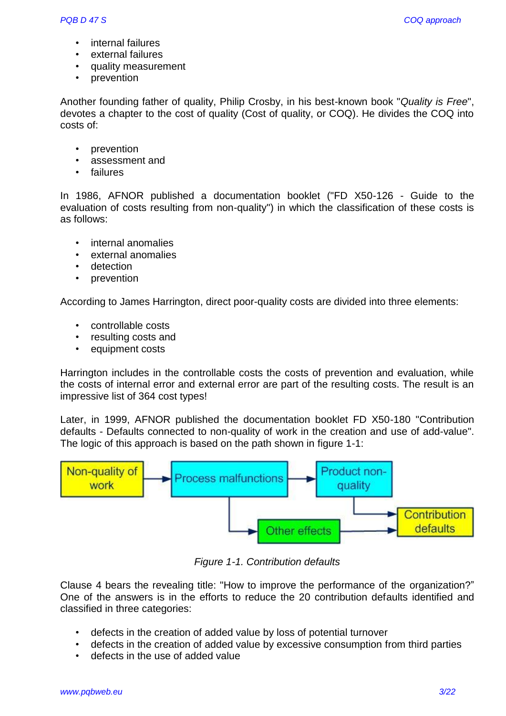- internal failures
- external failures
- quality measurement
- prevention

Another founding father of quality, Philip Crosby, in his best-known book "*Quality is Free*", devotes a chapter to the cost of quality (Cost of quality, or COQ). He divides the COQ into costs of:

- prevention
- assessment and
- failures

In 1986, AFNOR published a documentation booklet ("FD X50-126 - Guide to the evaluation of costs resulting from non-quality") in which the classification of these costs is as follows:

- internal anomalies
- external anomalies
- detection
- prevention

According to James Harrington, direct poor-quality costs are divided into three elements:

- controllable costs
- resulting costs and
- equipment costs

Harrington includes in the controllable costs the costs of prevention and evaluation, while the costs of internal error and external error are part of the resulting costs. The result is an impressive list of 364 cost types!

Later, in 1999, AFNOR published the documentation booklet FD X50-180 "Contribution defaults - Defaults connected to non-quality of work in the creation and use of add-value". The logic of this approach is based on the path shown in figure 1-1:



*Figure 1-1. Contribution defaults*

Clause 4 bears the revealing title: "How to improve the performance of the organization?" One of the answers is in the efforts to reduce the 20 contribution defaults identified and classified in three categories:

- defects in the creation of added value by loss of potential turnover
- defects in the creation of added value by excessive consumption from third parties
- defects in the use of added value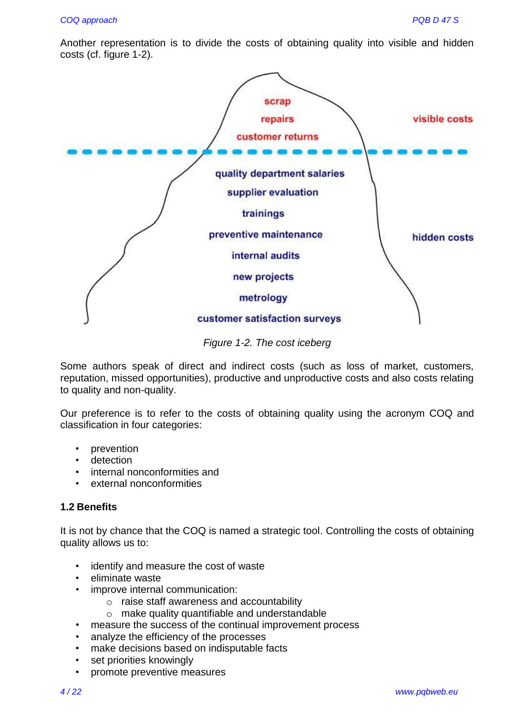Another representation is to divide the costs of obtaining quality into visible and hidden costs (cf. figure 1-2).



*Figure 1-2. The cost iceberg*

Some authors speak of direct and indirect costs (such as loss of market, customers, reputation, missed opportunities), productive and unproductive costs and also costs relating to quality and non-quality.

Our preference is to refer to the costs of obtaining quality using the acronym COQ and classification in four categories:

- prevention
- detection
- internal nonconformities and
- external nonconformities

#### **1.2 Benefits**

It is not by chance that the COQ is named a strategic tool. Controlling the costs of obtaining quality allows us to:

- identify and measure the cost of waste
- eliminate waste
- improve internal communication:
	- o raise staff awareness and accountability
	- o make quality quantifiable and understandable
- measure the success of the continual improvement process
- analyze the efficiency of the processes
- make decisions based on indisputable facts
- set priorities knowingly
- promote preventive measures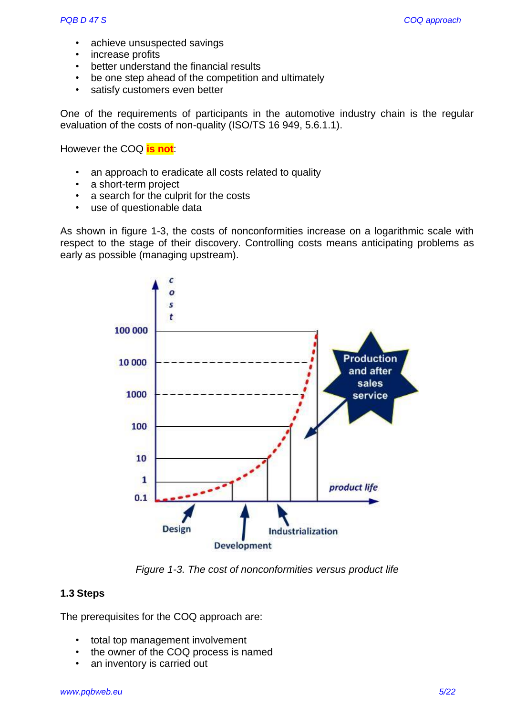- achieve unsuspected savings
- increase profits
- better understand the financial results
- be one step ahead of the competition and ultimately
- satisfy customers even better

One of the requirements of participants in the automotive industry chain is the regular evaluation of the costs of non-quality (ISO/TS 16 949, 5.6.1.1).

However the COQ **is not**:

- an approach to eradicate all costs related to quality
- a short-term project
- a search for the culprit for the costs
- use of questionable data

As shown in figure 1-3, the costs of nonconformities increase on a logarithmic scale with respect to the stage of their discovery. Controlling costs means anticipating problems as early as possible (managing upstream).



*Figure 1-3. The cost of nonconformities versus product life*

#### **1.3 Steps**

The prerequisites for the COQ approach are:

- total top management involvement
- the owner of the COQ process is named
- an inventory is carried out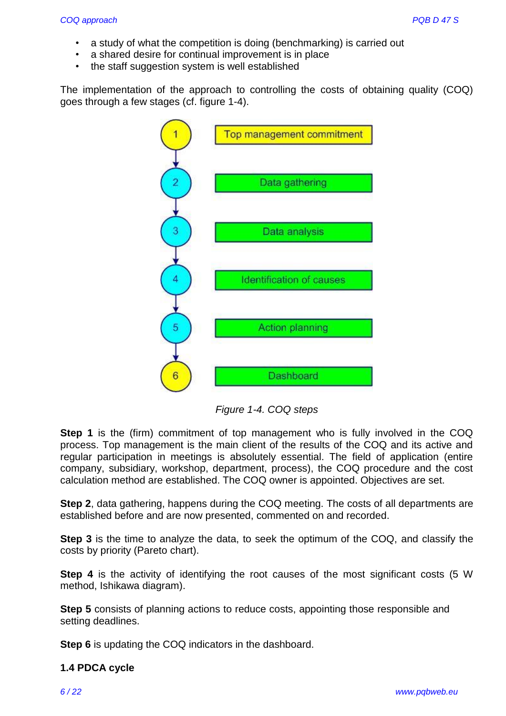- a study of what the competition is doing (benchmarking) is carried out
- a shared desire for continual improvement is in place
- the staff suggestion system is well established

The implementation of the approach to controlling the costs of obtaining quality (COQ) goes through a few stages (cf. figure 1-4).



*Figure 1-4. COQ steps*

**Step 1** is the (firm) commitment of top management who is fully involved in the COQ process. Top management is the main client of the results of the COQ and its active and regular participation in meetings is absolutely essential. The field of application (entire company, subsidiary, workshop, department, process), the COQ procedure and the cost calculation method are established. The COQ owner is appointed. Objectives are set.

**Step 2**, data gathering, happens during the COQ meeting. The costs of all departments are established before and are now presented, commented on and recorded.

**Step 3** is the time to analyze the data, to seek the optimum of the COQ, and classify the costs by priority (Pareto chart).

**Step 4** is the activity of identifying the root causes of the most significant costs (5 W) method, Ishikawa diagram).

**Step 5** consists of planning actions to reduce costs, appointing those responsible and setting deadlines.

**Step 6** is updating the COQ indicators in the dashboard.

#### **1.4 PDCA cycle**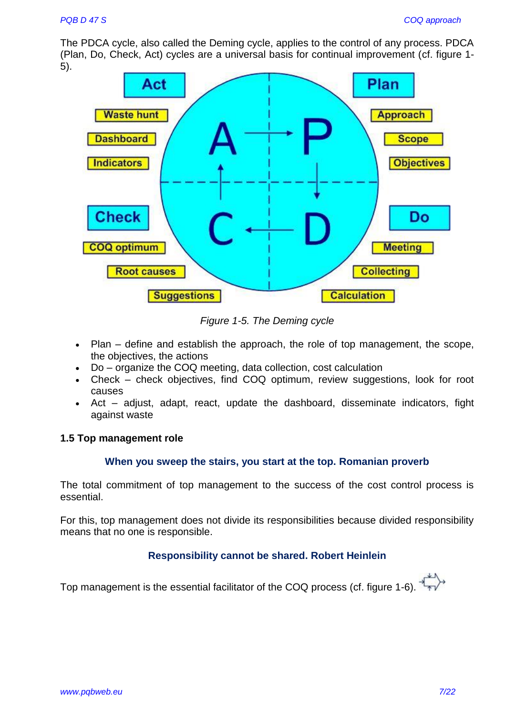The PDCA cycle, also called the Deming cycle, applies to the control of any process. PDCA (Plan, Do, Check, Act) cycles are a universal basis for continual improvement (cf. figure 1- 5).



*Figure 1-5. The Deming cycle*

- Plan define and establish the approach, the role of top management, the scope, the objectives, the actions
- Do organize the COQ meeting, data collection, cost calculation
- Check check objectives, find COQ optimum, review suggestions, look for root causes
- Act adjust, adapt, react, update the dashboard, disseminate indicators, fight against waste

#### **1.5 Top management role**

#### **When you sweep the stairs, you start at the top. Romanian proverb**

The total commitment of top management to the success of the cost control process is essential.

For this, top management does not divide its responsibilities because divided responsibility means that no one is responsible.

#### **Responsibility cannot be shared. Robert Heinlein**

Top management is the essential facilitator of the COQ process (cf. figure 1-6).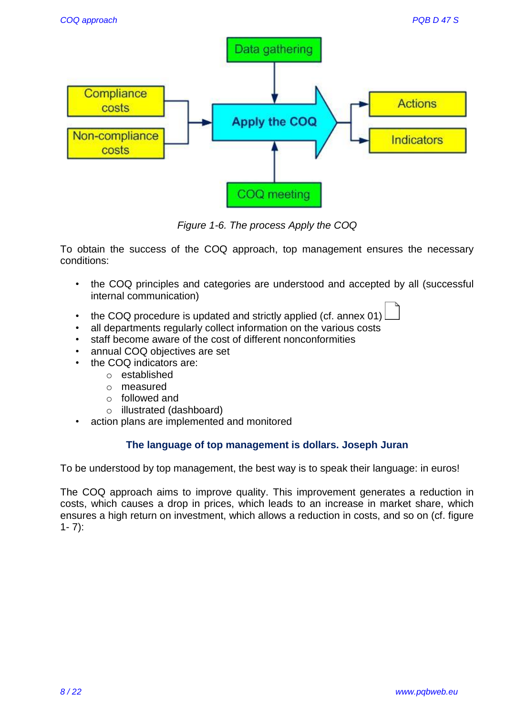

*Figure 1-6. The process Apply the COQ*

To obtain the success of the COQ approach, top management ensures the necessary conditions:

- the COQ principles and categories are understood and accepted by all (successful internal communication)
- the COQ procedure is updated and strictly applied (cf. annex 01)
- all departments regularly collect information on the various costs
- staff become aware of the cost of different nonconformities
- annual COQ objectives are set
- the COQ indicators are:
	- o established
	- o measured
	- o followed and
	- o illustrated (dashboard)
- action plans are implemented and monitored

# **The language of top management is dollars. Joseph Juran**

To be understood by top management, the best way is to speak their language: in euros!

The COQ approach aims to improve quality. This improvement generates a reduction in costs, which causes a drop in prices, which leads to an increase in market share, which ensures a high return on investment, which allows a reduction in costs, and so on (cf. figure  $1 - 7$ :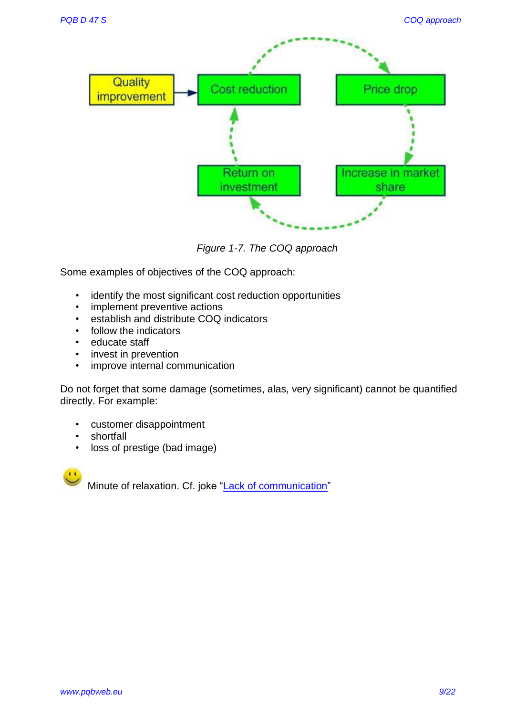

*Figure 1-7. The COQ approach*

Some examples of objectives of the COQ approach:

- identify the most significant cost reduction opportunities
- implement preventive actions
- establish and distribute COQ indicators
- follow the indicators
- educate staff
- invest in prevention
- improve internal communication

Do not forget that some damage (sometimes, alas, very significant) cannot be quantified directly. For example:

- customer disappointment
- shortfall
- loss of prestige (bad image)

Minute of relaxation. Cf. joke ["Lack of communication"](https://www.pqbweb.eu/page-some-jokes-to-distract-yourself-from-training.php#lack)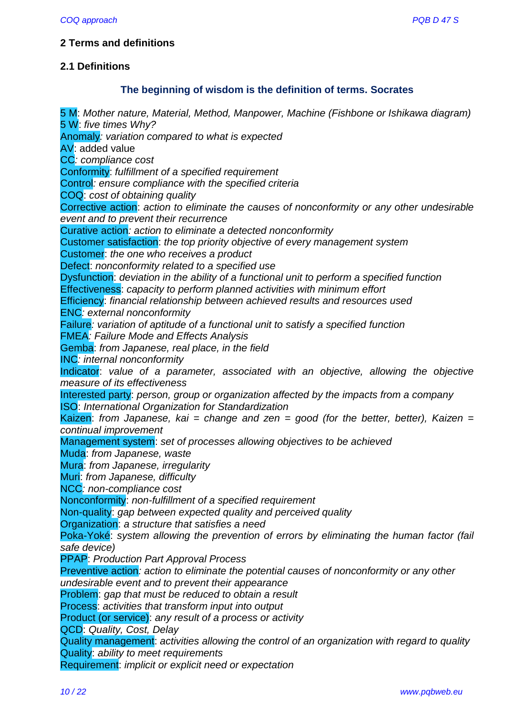## **2 Terms and definitions**

## **2.1 Definitions**

## **The beginning of wisdom is the definition of terms. Socrates**

5 M: *Mother nature, Material, Method, Manpower, Machine (Fishbone or Ishikawa diagram)* 5 W: *five times Why?* Anomaly*: variation compared to what is expected* AV: added value CC*: compliance cost* Conformity: *fulfillment of a specified requirement* Control*: ensure compliance with the specified criteria* COQ: *cost of obtaining quality* Corrective action: *action to eliminate the causes of nonconformity or any other undesirable event and to prevent their recurrence* Curative action*: action to eliminate a detected nonconformity* Customer satisfaction: *the top priority objective of every management system* Customer: *the one who receives a product* Defect: *nonconformity related to a specified use* Dysfunction: *deviation in the ability of a functional unit to perform a specified function* Effectiveness: *capacity to perform planned activities with minimum effort* Efficiency: *financial relationship between achieved results and resources used* ENC*: external nonconformity* Failure*: variation of aptitude of a functional unit to satisfy a specified function* FMEA*: Failure Mode and Effects Analysis* Gemba: *from Japanese, real place, in the field* INC*: internal nonconformity* Indicator: *value of a parameter, associated with an objective, allowing the objective measure of its effectiveness* Interested party: *person, group or organization affected by the impacts from a company* ISO: *International Organization for Standardization* Kaizen: from Japanese, kai = change and zen = good (for the better, better), Kaizen = *continual improvement* Management system: *set of processes allowing objectives to be achieved* Muda: *from Japanese, waste* Mura: *from Japanese, irregularity* Muri: *from Japanese, difficulty* NCC*: non-compliance cost* Nonconformity: *non-fulfillment of a specified requirement* Non-quality: *gap between expected quality and perceived quality* Organization: *a structure that satisfies a need* Poka-Yoké: *system allowing the prevention of errors by eliminating the human factor (fail safe device)* PPAP: *Production Part Approval Process* Preventive action*: action to eliminate the potential causes of nonconformity or any other undesirable event and to prevent their appearance* Problem: *gap that must be reduced to obtain a result* Process: *activities that transform input into output* Product (or service): *any result of a process or activity* QCD: *Quality, Cost, Delay* Quality management: *activities allowing the control of an organization with regard to quality* Quality: *ability to meet requirements*

Requirement: *implicit or explicit need or expectation*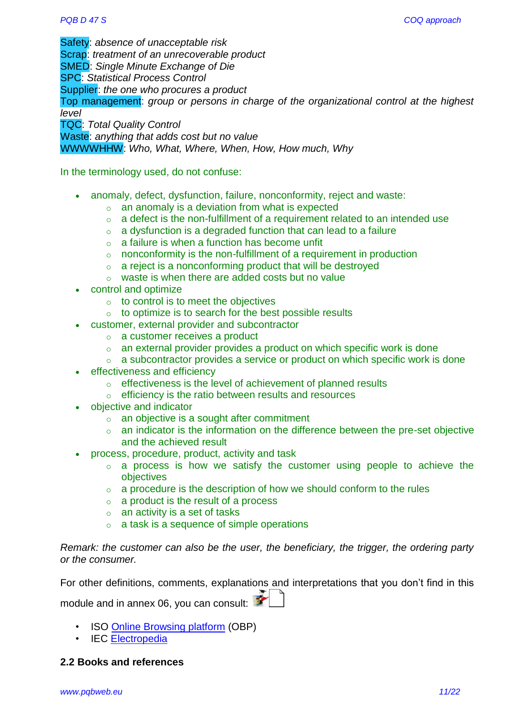Safety: *absence of unacceptable risk* Scrap: *treatment of an unrecoverable product* SMED: *Single Minute Exchange of Die* SPC: *Statistical Process Control* Supplier: *the one who procures a product* Top management: *group or persons in charge of the organizational control at the highest level* TQC: *Total Quality Control* Waste: *anything that adds cost but no value*

WWWWHHW: *Who, What, Where, When, How, How much, Why*

In the terminology used, do not confuse:

- anomaly, defect, dysfunction, failure, nonconformity, reject and waste:
	- $\circ$  an anomaly is a deviation from what is expected
	- $\circ$  a defect is the non-fulfillment of a requirement related to an intended use
	- $\circ$  a dysfunction is a degraded function that can lead to a failure
	- $\circ$  a failure is when a function has become unfit
	- $\circ$  nonconformity is the non-fulfillment of a requirement in production
	- $\circ$  a reject is a nonconforming product that will be destroved
	- o waste is when there are added costs but no value
- control and optimize
	- $\circ$  to control is to meet the objectives
	- $\circ$  to optimize is to search for the best possible results
	- customer, external provider and subcontractor
		- o a customer receives a product
		- o an external provider provides a product on which specific work is done
		- $\circ$  a subcontractor provides a service or product on which specific work is done
- effectiveness and efficiency
	- o effectiveness is the level of achievement of planned results
	- o efficiency is the ratio between results and resources
- objective and indicator
	- o an objective is a sought after commitment
	- $\circ$  an indicator is the information on the difference between the pre-set objective and the achieved result
- process, procedure, product, activity and task
	- $\circ$  a process is how we satisfy the customer using people to achieve the objectives
	- $\circ$  a procedure is the description of how we should conform to the rules
	- o a product is the result of a process
	- $\circ$  an activity is a set of tasks
	- $\circ$  a task is a sequence of simple operations

*Remark: the customer can also be the user, the beneficiary, the trigger, the ordering party or the consumer.*

For other definitions, comments, explanations and interpretations that you don't find in this module and in annex 06, you can consult:

- ISO [Online Browsing platform](https://www.iso.org/obp/ui#home) (OBP)
- IEC [Electropedia](http://www.electropedia.org/)

#### **2.2 Books and references**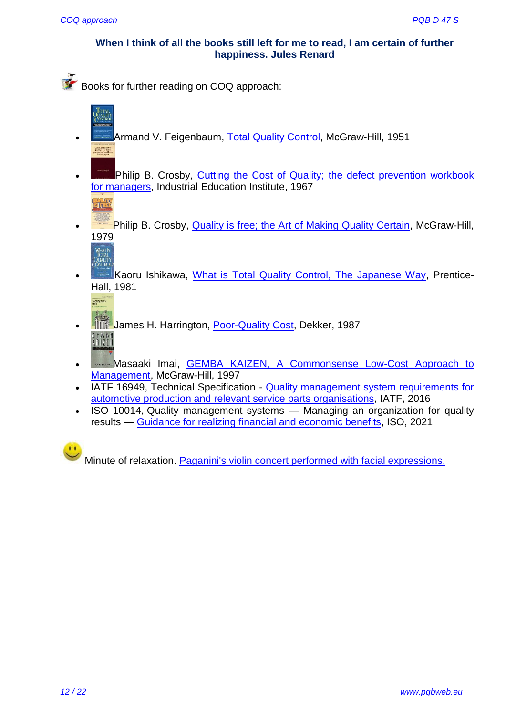#### **When I think of all the books still left for me to read, I am certain of further happiness. Jules Renard**

Books for further reading on COQ approach:

- **Armand V. Feigenbaum, [Total Quality Control,](http://www.amazon.com/Total-Quality-Control-Armand-Feigenbaum/dp/0070220034) McGraw-Hill, 1951** Cutting the cent of<br>quality. The defect
- Philip B. Crosby, [Cutting the Cost of Quality; the defect prevention workbook](http://www.amazon.com/Cutting-cost-quality-prevention-workbook/dp/B0006EZWEO)  [for managers,](http://www.amazon.com/Cutting-cost-quality-prevention-workbook/dp/B0006EZWEO) Industrial Education Institute, 1967
- **Philip B. Crosby, [Quality is free; the Art of Making Quality Certain,](http://www.amazon.com/Quality-Is-Free-Certain-Business/dp/0070145121) McGraw-Hill,** 1979 WHAT'S<br>TOTAL<br>QUALITY<br>QNTROL
- Kaoru Ishikawa, [What is Total Quality Control, The Japanese Way,](http://www.amazon.com/What-Total-Quality-Control-Management/dp/013952441X) Prentice-Hall, 1981



**This** 

- **JEFF** James H. Harrington, [Poor-Quality Cost,](http://www.amazon.com/Poor-Quality-Cost-Implementing-Understanding-Reliability/dp/0824777433/ref=sr_1_1?s=books&ie=UTF8&qid=1411381319&sr=1-1&keywords=Poor-Quality+Cost) Dekker, 1987 QIMBI<br>Kai7fi
- Masaaki Imai, [GEMBA KAIZEN, A Commonsense Low-Cost Approach to](http://www.amazon.com/Gemba-Kaizen-Commonsense-Low-Cost-Management/dp/0070314462)  [Management,](http://www.amazon.com/Gemba-Kaizen-Commonsense-Low-Cost-Management/dp/0070314462) McGraw-Hill, 1997
- IATF 16949, Technical Specification Quality management system requirements for [automotive production and relevant service parts organisations,](https://industryforum.co.uk/shop/iatf-books-standards-and-publications/iatf-169492016-technical-specification/) IATF, 2016
- ISO 10014, Quality management systems Managing an organization for quality results — [Guidance for realizing financial and economic benefits,](https://www.iso.org/standard/75233.html) ISO, 2021



Minute of relaxation. [Paganini's violin concert performed with facial expressions.](https://www.wimp.com/paganinis-violin-concert-performed-with-facial-expressions/)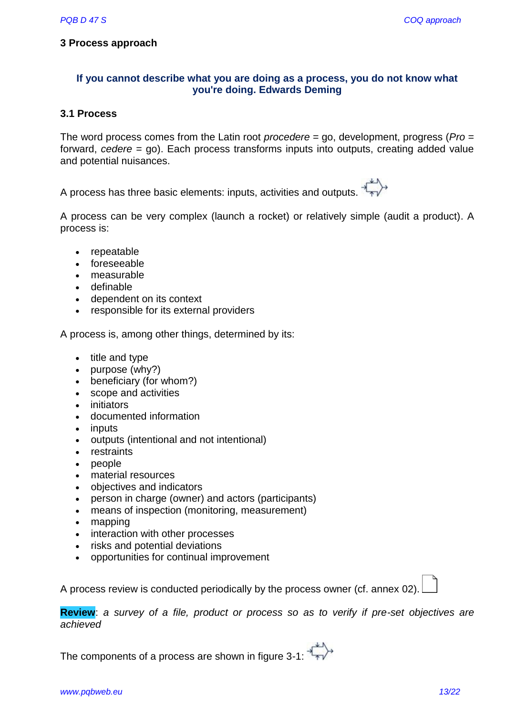#### **3 Process approach**

# **If you cannot describe what you are doing as a process, you do not know what you're doing. Edwards Deming**

#### **3.1 Process**

The word process comes from the Latin root *procedere* = go, development, progress (*Pro* = forward, *cedere* = go). Each process transforms inputs into outputs, creating added value and potential nuisances.

A process has three basic elements: inputs, activities and outputs.

A process can be very complex (launch a rocket) or relatively simple (audit a product). A process is:

- repeatable
- foreseeable
- measurable
- definable
- dependent on its context
- responsible for its external providers

A process is, among other things, determined by its:

- $\bullet$  title and type
- $\bullet$  purpose (why?)
- beneficiary (for whom?)
- scope and activities
- initiators
- documented information
- inputs
- outputs (intentional and not intentional)
- restraints
- people
- material resources
- objectives and indicators
- person in charge (owner) and actors (participants)
- means of inspection (monitoring, measurement)
- mapping
- interaction with other processes
- risks and potential deviations
- opportunities for continual improvement

A process review is conducted periodically by the process owner (cf. annex 02).

**Review**: *a survey of a file, product or process so as to verify if pre-set objectives are achieved*

The components of a process are shown in figure 3-1: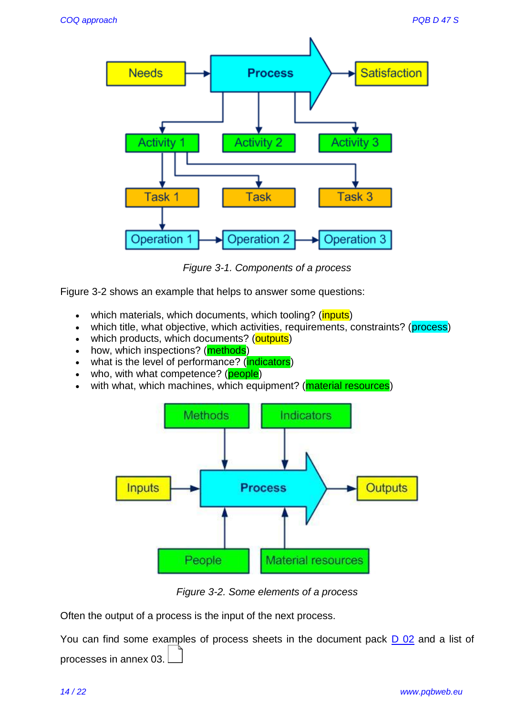

*Figure 3-1. Components of a process*

Figure 3-2 shows an example that helps to answer some questions:

- which materials, which documents, which tooling? (*inputs*)
- which title, what objective, which activities, requirements, constraints? (process)
- which products, which documents? (outputs)
- how, which inspections? (**methods**)
- what is the level of performance? (indicators)
- who, with what competence? (**people**)
- with what, which machines, which equipment? (**material resources**)



*Figure 3-2. Some elements of a process*

Often the output of a process is the input of the next process.

You can find some examples of process sheets in the document pack [D 02](http://www.pqbweb.eu/document-d-02-processes.php) and a list of processes in annex 03.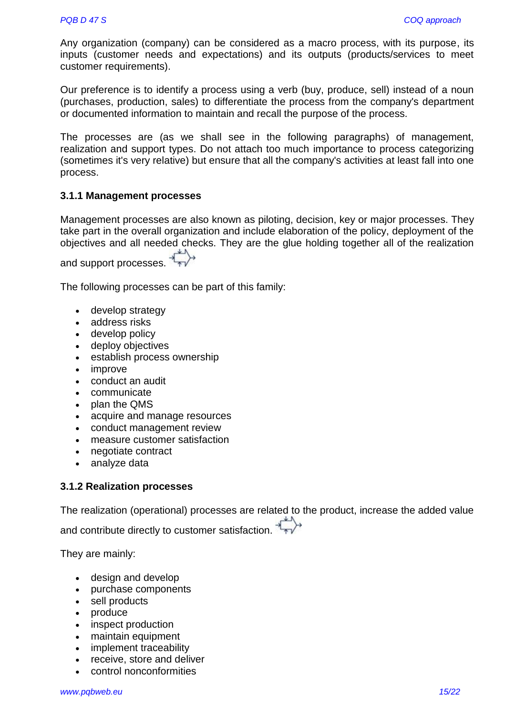Any organization (company) can be considered as a macro process, with its purpose, its inputs (customer needs and expectations) and its outputs (products/services to meet customer requirements).

Our preference is to identify a process using a verb (buy, produce, sell) instead of a noun (purchases, production, sales) to differentiate the process from the company's department or documented information to maintain and recall the purpose of the process.

The processes are (as we shall see in the following paragraphs) of management, realization and support types. Do not attach too much importance to process categorizing (sometimes it's very relative) but ensure that all the company's activities at least fall into one process.

#### **3.1.1 Management processes**

Management processes are also known as piloting, decision, key or major processes. They take part in the overall organization and include elaboration of the policy, deployment of the objectives and all needed checks. They are the glue holding together all of the realization

and support processes.

The following processes can be part of this family:

- develop strategy
- address risks
- develop policy
- deploy objectives
- establish process ownership
- improve
- conduct an audit
- communicate
- plan the QMS
- acquire and manage resources
- conduct management review
- measure customer satisfaction
- negotiate contract
- analyze data

#### **3.1.2 Realization processes**

The realization (operational) processes are related to the product, increase the added value and contribute directly to customer satisfaction.

They are mainly:

- design and develop
- purchase components
- sell products
- produce
- inspect production
- maintain equipment
- implement traceability
- receive, store and deliver
- control nonconformities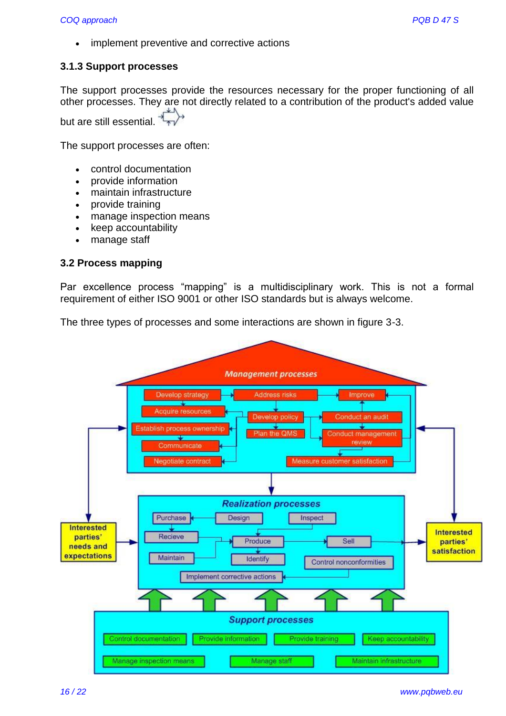• implement preventive and corrective actions

#### **3.1.3 Support processes**

The support processes provide the resources necessary for the proper functioning of all other processes. They are not directly related to a contribution of the product's added value but are still essential.

The support processes are often:

- control documentation
- provide information
- maintain infrastructure
- provide training
- manage inspection means
- keep accountability
- manage staff

#### **3.2 Process mapping**

Par excellence process "mapping" is a multidisciplinary work. This is not a formal requirement of either ISO 9001 or other ISO standards but is always welcome.

The three types of processes and some interactions are shown in figure 3-3.

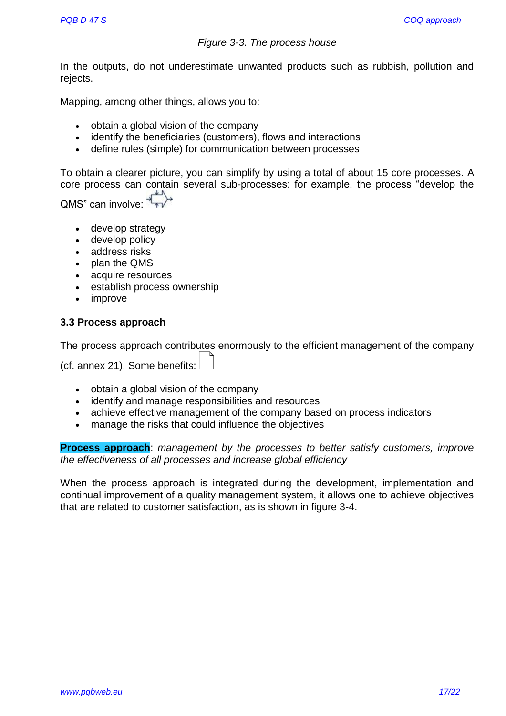#### *Figure 3-3. The process house*

In the outputs, do not underestimate unwanted products such as rubbish, pollution and rejects.

Mapping, among other things, allows you to:

- obtain a global vision of the company
- identify the beneficiaries (customers), flows and interactions
- define rules (simple) for communication between processes

To obtain a clearer picture, you can simplify by using a total of about 15 core processes. A core process can contain several sub-processes: for example, the process "develop the

QMS" can involve:  $\overrightarrow{f_{\ast}}$ 

- develop strategy
- develop policy
- address risks
- plan the QMS
- acquire resources
- establish process ownership
- improve

#### **3.3 Process approach**

| The process approach contributes enormously to the efficient management of the company |
|----------------------------------------------------------------------------------------|
|                                                                                        |
| (cf. annex 21). Some benefits: $\Box$                                                  |

- obtain a global vision of the company
- identify and manage responsibilities and resources
- achieve effective management of the company based on process indicators
- manage the risks that could influence the objectives

**Process approach**: *management by the processes to better satisfy customers, improve the effectiveness of all processes and increase global efficiency*

When the process approach is integrated during the development, implementation and continual improvement of a quality management system, it allows one to achieve objectives that are related to customer satisfaction, as is shown in figure 3-4.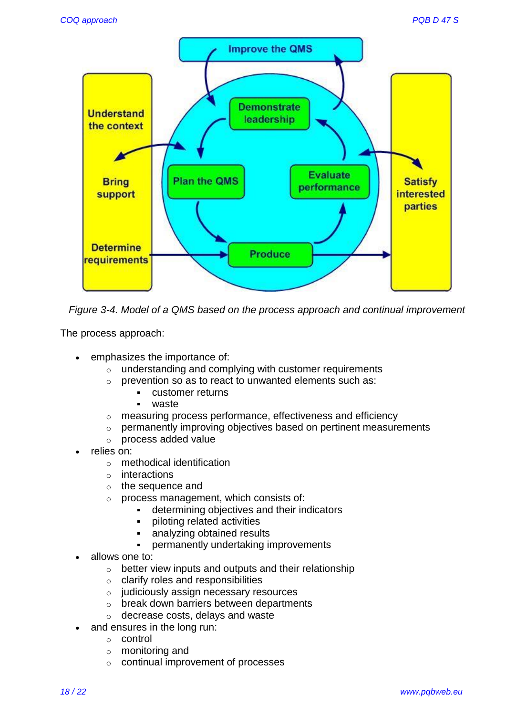

*Figure 3-4. Model of a QMS based on the process approach and continual improvement*

The process approach:

- emphasizes the importance of:
	- $\circ$  understanding and complying with customer requirements
	- o prevention so as to react to unwanted elements such as:
		- customer returns
			- waste
	- o measuring process performance, effectiveness and efficiency
	- o permanently improving objectives based on pertinent measurements
	- o process added value
- relies on:
	- o methodical identification
	- o interactions
	- o the sequence and
	- o process management, which consists of:
		- determining objectives and their indicators
		- piloting related activities
		- analyzing obtained results
		- permanently undertaking improvements
- allows one to:
	- o better view inputs and outputs and their relationship
	- $\circ$  clarify roles and responsibilities
	- o judiciously assign necessary resources
	- o break down barriers between departments
	- o decrease costs, delays and waste
- and ensures in the long run:
	- o control
	- o monitoring and
	- o continual improvement of processes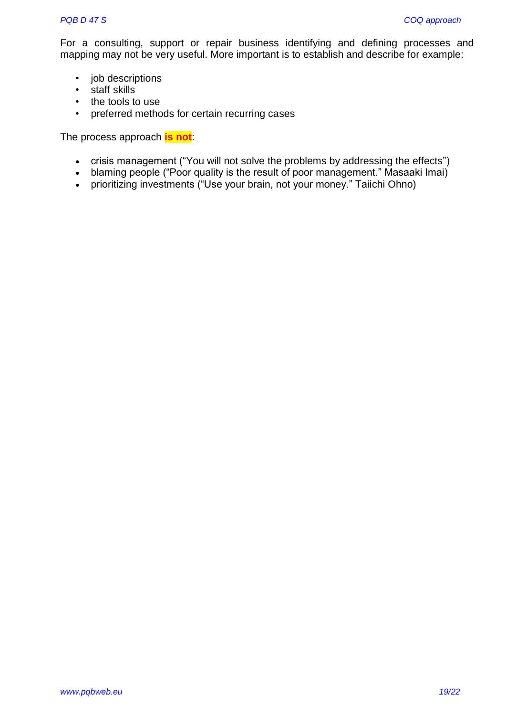For a consulting, support or repair business identifying and defining processes and mapping may not be very useful. More important is to establish and describe for example:

- job descriptions
- staff skills
- the tools to use
- preferred methods for certain recurring cases

The process approach **is not**:

- crisis management ("You will not solve the problems by addressing the effects")
- blaming people ("Poor quality is the result of poor management." Masaaki Imai)
- prioritizing investments ("Use your brain, not your money." Taiichi Ohno)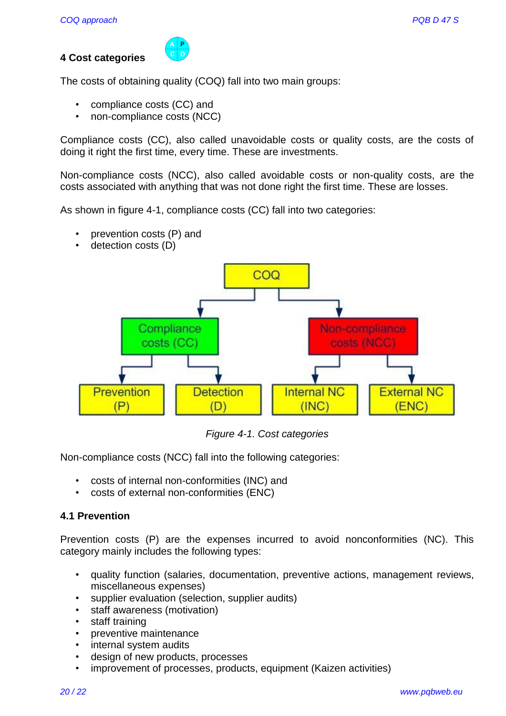# **4 Cost categories**

 $\begin{array}{c} \n \overline{A} & \overline{P} \\
C & D\n \end{array}$ 

The costs of obtaining quality (COQ) fall into two main groups:

- compliance costs (CC) and
- non-compliance costs (NCC)

Compliance costs (CC), also called unavoidable costs or quality costs, are the costs of doing it right the first time, every time. These are investments.

Non-compliance costs (NCC), also called avoidable costs or non-quality costs, are the costs associated with anything that was not done right the first time. These are losses.

As shown in figure 4-1, compliance costs (CC) fall into two categories:

- prevention costs (P) and
- detection costs (D)



*Figure 4-1. Cost categories*

Non-compliance costs (NCC) fall into the following categories:

- costs of internal non-conformities (INC) and
- costs of external non-conformities (ENC)

# **4.1 Prevention**

Prevention costs (P) are the expenses incurred to avoid nonconformities (NC). This category mainly includes the following types:

- quality function (salaries, documentation, preventive actions, management reviews, miscellaneous expenses)
- supplier evaluation (selection, supplier audits)
- staff awareness (motivation)
- staff training
- preventive maintenance
- internal system audits
- design of new products, processes
- improvement of processes, products, equipment (Kaizen activities)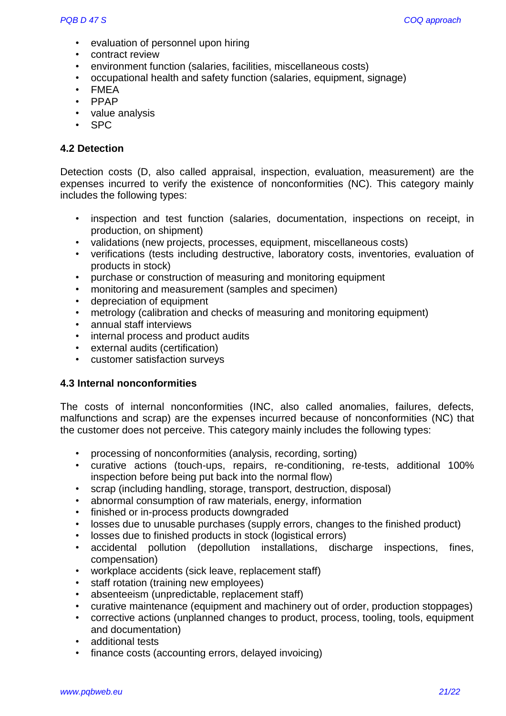- evaluation of personnel upon hiring
- contract review
- environment function (salaries, facilities, miscellaneous costs)
- occupational health and safety function (salaries, equipment, signage)
- FMEA
- PPAP
- value analysis
- SPC

#### **4.2 Detection**

Detection costs (D, also called appraisal, inspection, evaluation, measurement) are the expenses incurred to verify the existence of nonconformities (NC). This category mainly includes the following types:

- inspection and test function (salaries, documentation, inspections on receipt, in production, on shipment)
- validations (new projects, processes, equipment, miscellaneous costs)
- verifications (tests including destructive, laboratory costs, inventories, evaluation of products in stock)
- purchase or construction of measuring and monitoring equipment
- monitoring and measurement (samples and specimen)
- depreciation of equipment
- metrology (calibration and checks of measuring and monitoring equipment)
- annual staff interviews
- internal process and product audits
- external audits (certification)
- customer satisfaction surveys

#### **4.3 Internal nonconformities**

The costs of internal nonconformities (INC, also called anomalies, failures, defects, malfunctions and scrap) are the expenses incurred because of nonconformities (NC) that the customer does not perceive. This category mainly includes the following types:

- processing of nonconformities (analysis, recording, sorting)
- curative actions (touch-ups, repairs, re-conditioning, re-tests, additional 100% inspection before being put back into the normal flow)
- scrap (including handling, storage, transport, destruction, disposal)
- abnormal consumption of raw materials, energy, information
- finished or in-process products downgraded
- losses due to unusable purchases (supply errors, changes to the finished product)
- losses due to finished products in stock (logistical errors)
- accidental pollution (depollution installations, discharge inspections, fines, compensation)
- workplace accidents (sick leave, replacement staff)
- staff rotation (training new employees)
- absenteeism (unpredictable, replacement staff)
- curative maintenance (equipment and machinery out of order, production stoppages)
- corrective actions (unplanned changes to product, process, tooling, tools, equipment and documentation)
- additional tests
- finance costs (accounting errors, delayed invoicing)